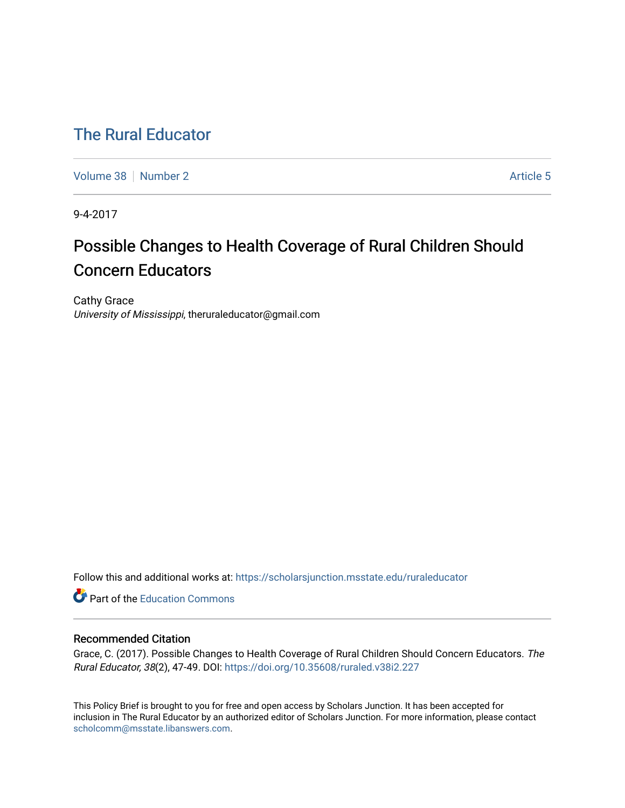## [The Rural Educator](https://scholarsjunction.msstate.edu/ruraleducator)

[Volume 38](https://scholarsjunction.msstate.edu/ruraleducator/vol38) [Number 2](https://scholarsjunction.msstate.edu/ruraleducator/vol38/iss2) [Article 5](https://scholarsjunction.msstate.edu/ruraleducator/vol38/iss2/5) Article 5

9-4-2017

# Possible Changes to Health Coverage of Rural Children Should Concern Educators

Cathy Grace University of Mississippi, theruraleducator@gmail.com

Follow this and additional works at: [https://scholarsjunction.msstate.edu/ruraleducator](https://scholarsjunction.msstate.edu/ruraleducator?utm_source=scholarsjunction.msstate.edu%2Fruraleducator%2Fvol38%2Fiss2%2F5&utm_medium=PDF&utm_campaign=PDFCoverPages)

**C** Part of the [Education Commons](http://network.bepress.com/hgg/discipline/784?utm_source=scholarsjunction.msstate.edu%2Fruraleducator%2Fvol38%2Fiss2%2F5&utm_medium=PDF&utm_campaign=PDFCoverPages)

#### Recommended Citation

Grace, C. (2017). Possible Changes to Health Coverage of Rural Children Should Concern Educators. The Rural Educator, 38(2), 47-49. DOI:<https://doi.org/10.35608/ruraled.v38i2.227>

This Policy Brief is brought to you for free and open access by Scholars Junction. It has been accepted for inclusion in The Rural Educator by an authorized editor of Scholars Junction. For more information, please contact [scholcomm@msstate.libanswers.com.](mailto:scholcomm@msstate.libanswers.com)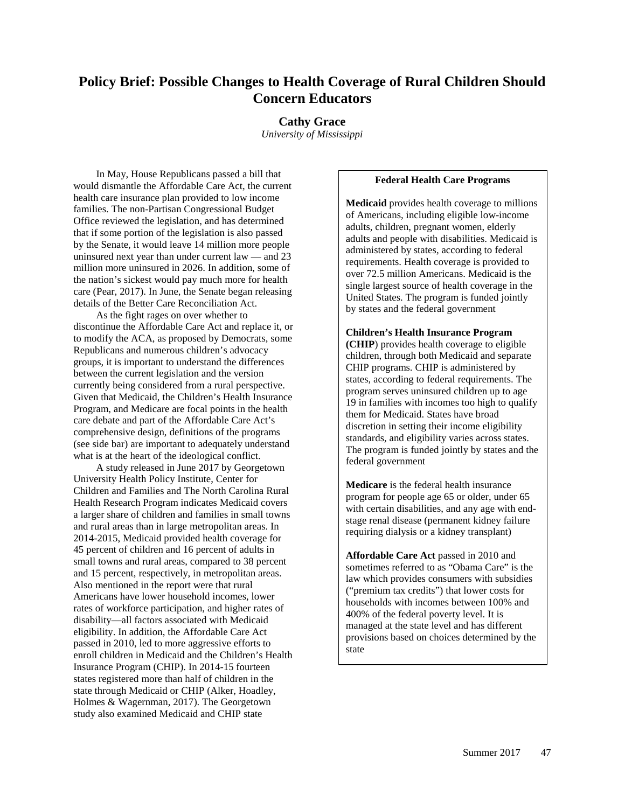## **Policy Brief: Possible Changes to Health Coverage of Rural Children Should Concern Educators**

#### **Cathy Grace**

*University of Mississippi*

In May, House Republicans passed a bill that would dismantle the Affordable Care Act, the current health care insurance plan provided to low income families. The non-Partisan Congressional Budget Office reviewed the legislation, and has determined that if some portion of the legislation is also passed by the Senate, it would leave 14 million more people uninsured next year than under current law — and 23 million more uninsured in 2026. In addition, some of the nation's sickest would pay much more for health care (Pear, 2017). In June, the Senate began releasing details of the Better Care Reconciliation Act.

As the fight rages on over whether to discontinue the Affordable Care Act and replace it, or to modify the ACA, as proposed by Democrats, some Republicans and numerous children's advocacy groups, it is important to understand the differences between the current legislation and the version currently being considered from a rural perspective. Given that Medicaid, the Children's Health Insurance Program, and Medicare are focal points in the health care debate and part of the Affordable Care Act's comprehensive design, definitions of the programs (see side bar) are important to adequately understand what is at the heart of the ideological conflict.

A study released in June 2017 by Georgetown University Health Policy Institute, Center for Children and Families and The North Carolina Rural Health Research Program indicates Medicaid covers a larger share of children and families in small towns and rural areas than in large metropolitan areas. In 2014-2015, Medicaid provided health coverage for 45 percent of children and 16 percent of adults in small towns and rural areas, compared to 38 percent and 15 percent, respectively, in metropolitan areas. Also mentioned in the report were that rural Americans have lower household incomes, lower rates of workforce participation, and higher rates of disability—all factors associated with Medicaid eligibility. In addition, the Affordable Care Act passed in 2010, led to more aggressive efforts to enroll children in Medicaid and the Children's Health Insurance Program (CHIP). In 2014-15 fourteen states registered more than half of children in the state through Medicaid or CHIP (Alker, Hoadley, Holmes & Wagernman, 2017). The Georgetown study also examined Medicaid and CHIP state

#### **Federal Health Care Programs**

**Medicaid** provides health coverage to millions of Americans, including eligible low-income adults, children, pregnant women, elderly adults and people with disabilities. Medicaid is administered by states, according to federal requirements. Health coverage is provided to over 72.5 million Americans. Medicaid is the single largest source of health coverage in the United States. The program is funded jointly by states and the federal government

#### **Children's Health Insurance Program (CHIP**) provides health coverage to eligible children, through both Medicaid and separate CHIP programs. CHIP is administered by states, according to federal requirements. The program serves uninsured children up to age 19 in families with incomes too high to qualify them for Medicaid. States have broad discretion in setting their income eligibility standards, and eligibility varies across states. The program is funded jointly by states and the federal government

**Medicare** is the federal health insurance program for people age 65 or older, under 65 with certain disabilities, and any age with endstage renal disease (permanent kidney failure requiring dialysis or a kidney transplant)

**Affordable Care Act** passed in 2010 and sometimes referred to as "Obama Care" is the law which provides consumers with subsidies ("premium tax credits") that lower costs for households with incomes between 100% and 400% of the federal poverty level. It is managed at the state level and has different provisions based on choices determined by the state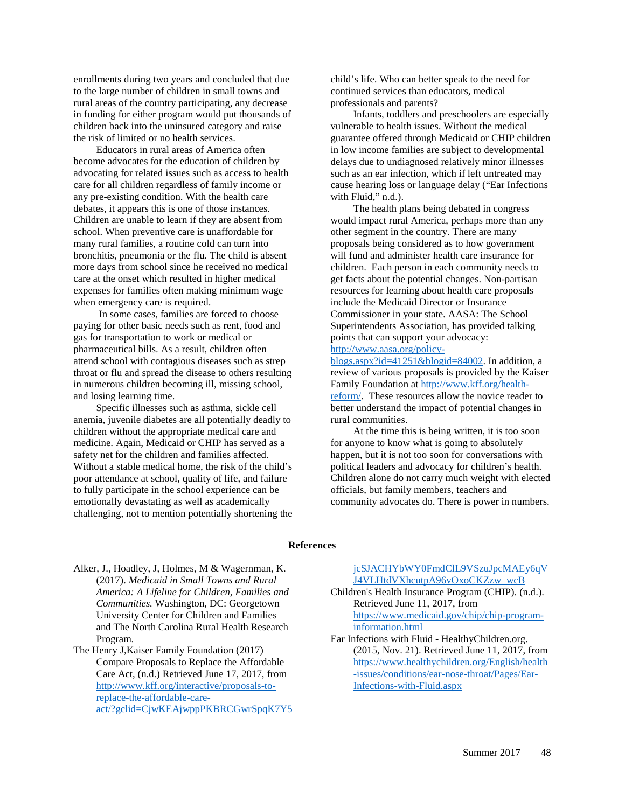enrollments during two years and concluded that due to the large number of children in small towns and rural areas of the country participating, any decrease in funding for either program would put thousands of children back into the uninsured category and raise the risk of limited or no health services.

Educators in rural areas of America often become advocates for the education of children by advocating for related issues such as access to health care for all children regardless of family income or any pre-existing condition. With the health care debates, it appears this is one of those instances. Children are unable to learn if they are absent from school. When preventive care is unaffordable for many rural families, a routine cold can turn into bronchitis, pneumonia or the flu. The child is absent more days from school since he received no medical care at the onset which resulted in higher medical expenses for families often making minimum wage when emergency care is required.

In some cases, families are forced to choose paying for other basic needs such as rent, food and gas for transportation to work or medical or pharmaceutical bills. As a result, children often attend school with contagious diseases such as strep throat or flu and spread the disease to others resulting in numerous children becoming ill, missing school, and losing learning time.

Specific illnesses such as asthma, sickle cell anemia, juvenile diabetes are all potentially deadly to children without the appropriate medical care and medicine. Again, Medicaid or CHIP has served as a safety net for the children and families affected. Without a stable medical home, the risk of the child's poor attendance at school, quality of life, and failure to fully participate in the school experience can be emotionally devastating as well as academically challenging, not to mention potentially shortening the

child's life. Who can better speak to the need for continued services than educators, medical professionals and parents?

Infants, toddlers and preschoolers are especially vulnerable to health issues. Without the medical guarantee offered through Medicaid or CHIP children in low income families are subject to developmental delays due to undiagnosed relatively minor illnesses such as an ear infection, which if left untreated may cause hearing loss or language delay ("Ear Infections with Fluid," n.d.).

The health plans being debated in congress would impact rural America, perhaps more than any other segment in the country. There are many proposals being considered as to how government will fund and administer health care insurance for children. Each person in each community needs to get facts about the potential changes. Non-partisan resources for learning about health care proposals include the Medicaid Director or Insurance Commissioner in your state. AASA: The School Superintendents Association, has provided talking points that can support your advocacy:

### [http://www.aasa.org/policy-](http://www.aasa.org/policy-blogs.aspx?id=41251&blogid=84002)

[blogs.aspx?id=41251&blogid=84002.](http://www.aasa.org/policy-blogs.aspx?id=41251&blogid=84002) In addition, a review of various proposals is provided by the Kaiser Family Foundation a[t http://www.kff.org/health](http://www.kff.org/health-reform/)[reform/.](http://www.kff.org/health-reform/) These resources allow the novice reader to better understand the impact of potential changes in rural communities.

At the time this is being written, it is too soon for anyone to know what is going to absolutely happen, but it is not too soon for conversations with political leaders and advocacy for children's health. Children alone do not carry much weight with elected officials, but family members, teachers and community advocates do. There is power in numbers.

#### **References**

Alker, J., Hoadley, J, Holmes, M & Wagernman, K. (2017). *Medicaid in Small Towns and Rural America: A Lifeline for Children, Families and Communities.* Washington, DC: Georgetown University Center for Children and Families and The North Carolina Rural Health Research Program.

The Henry J,Kaiser Family Foundation (2017) Compare Proposals to Replace the Affordable Care Act, (n.d.) Retrieved June 17, 2017, from [http://www.kff.org/interactive/proposals-to](http://www.kff.org/interactive/proposals-to-replace-the-affordable-care-act/?gclid=CjwKEAjwppPKBRCGwrSpqK7Y5jcSJACHYbWY0FmdClL9VSzuJpcMAEy6qVJ4VLHtdVXhcutpA96vOxoCKZzw_wcB)[replace-the-affordable-care](http://www.kff.org/interactive/proposals-to-replace-the-affordable-care-act/?gclid=CjwKEAjwppPKBRCGwrSpqK7Y5jcSJACHYbWY0FmdClL9VSzuJpcMAEy6qVJ4VLHtdVXhcutpA96vOxoCKZzw_wcB)[act/?gclid=CjwKEAjwppPKBRCGwrSpqK7Y5](http://www.kff.org/interactive/proposals-to-replace-the-affordable-care-act/?gclid=CjwKEAjwppPKBRCGwrSpqK7Y5jcSJACHYbWY0FmdClL9VSzuJpcMAEy6qVJ4VLHtdVXhcutpA96vOxoCKZzw_wcB) [jcSJACHYbWY0FmdClL9VSzuJpcMAEy6qV](http://www.kff.org/interactive/proposals-to-replace-the-affordable-care-act/?gclid=CjwKEAjwppPKBRCGwrSpqK7Y5jcSJACHYbWY0FmdClL9VSzuJpcMAEy6qVJ4VLHtdVXhcutpA96vOxoCKZzw_wcB) [J4VLHtdVXhcutpA96vOxoCKZzw\\_wcB](http://www.kff.org/interactive/proposals-to-replace-the-affordable-care-act/?gclid=CjwKEAjwppPKBRCGwrSpqK7Y5jcSJACHYbWY0FmdClL9VSzuJpcMAEy6qVJ4VLHtdVXhcutpA96vOxoCKZzw_wcB)

- Children's Health Insurance Program (CHIP). (n.d.). Retrieved June 11, 2017, from [https://www.medicaid.gov/chip/chip-program](https://www.medicaid.gov/chip/chip-program-information.html)[information.html](https://www.medicaid.gov/chip/chip-program-information.html)
- Ear Infections with Fluid HealthyChildren.org. (2015, Nov. 21). Retrieved June 11, 2017, from [https://www.healthychildren.org/English/health](https://www.healthychildren.org/English/health-issues/conditions/ear-nose-throat/Pages/Ear-Infections-with-Fluid.aspx) [-issues/conditions/ear-nose-throat/Pages/Ear-](https://www.healthychildren.org/English/health-issues/conditions/ear-nose-throat/Pages/Ear-Infections-with-Fluid.aspx)[Infections-with-Fluid.aspx](https://www.healthychildren.org/English/health-issues/conditions/ear-nose-throat/Pages/Ear-Infections-with-Fluid.aspx)